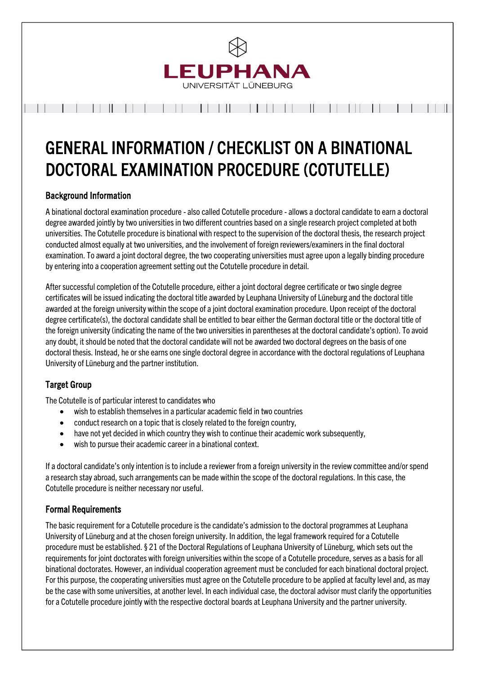

# GENERAL INFORMATION / CHECKLIST ON A BINATIONAL DOCTORAL EXAMINATION PROCEDURE (COTUTELLE)

# Background Information

A binational doctoral examination procedure - also called Cotutelle procedure - allows a doctoral candidate to earn a doctoral degree awarded jointly by two universities in two different countries based on a single research project completed at both universities. The Cotutelle procedure is binational with respect to the supervision of the doctoral thesis, the research project conducted almost equally at two universities, and the involvement of foreign reviewers/examiners in the final doctoral examination. To award a joint doctoral degree, the two cooperating universities must agree upon a legally binding procedure by entering into a cooperation agreement setting out the Cotutelle procedure in detail.

After successful completion of the Cotutelle procedure, either a joint doctoral degree certificate or two single degree certificates will be issued indicating the doctoral title awarded by Leuphana University of Lüneburg and the doctoral title awarded at the foreign university within the scope of a joint doctoral examination procedure. Upon receipt of the doctoral degree certificate(s), the doctoral candidate shall be entitled to bear either the German doctoral title or the doctoral title of the foreign university (indicating the name of the two universities in parentheses at the doctoral candidate's option). To avoid any doubt, it should be noted that the doctoral candidate will not be awarded two doctoral degrees on the basis of one doctoral thesis. Instead, he or she earns one single doctoral degree in accordance with the doctoral regulations of Leuphana University of Lüneburg and the partner institution.

# Target Group

The Cotutelle is of particular interest to candidates who

- wish to establish themselves in a particular academic field in two countries
- conduct research on a topic that is closely related to the foreign country,
- have not yet decided in which country they wish to continue their academic work subsequently,
- wish to pursue their academic career in a binational context.

If a doctoral candidate's only intention is to include a reviewer from a foreign university in the review committee and/or spend a research stay abroad, such arrangements can be made within the scope of the doctoral regulations. In this case, the Cotutelle procedure is neither necessary nor useful.

## Formal Requirements

The basic requirement for a Cotutelle procedure is the candidate's admission to the doctoral programmes at Leuphana University of Lüneburg and at the chosen foreign university. In addition, the legal framework required for a Cotutelle procedure must be established. § 21 of the Doctoral Regulations of Leuphana University of Lüneburg, which sets out the requirements for joint doctorates with foreign universities within the scope of a Cotutelle procedure, serves as a basis for all binational doctorates. However, an individual cooperation agreement must be concluded for each binational doctoral project. For this purpose, the cooperating universities must agree on the Cotutelle procedure to be applied at faculty level and, as may be the case with some universities, at another level. In each individual case, the doctoral advisor must clarify the opportunities for a Cotutelle procedure jointly with the respective doctoral boards at Leuphana University and the partner university.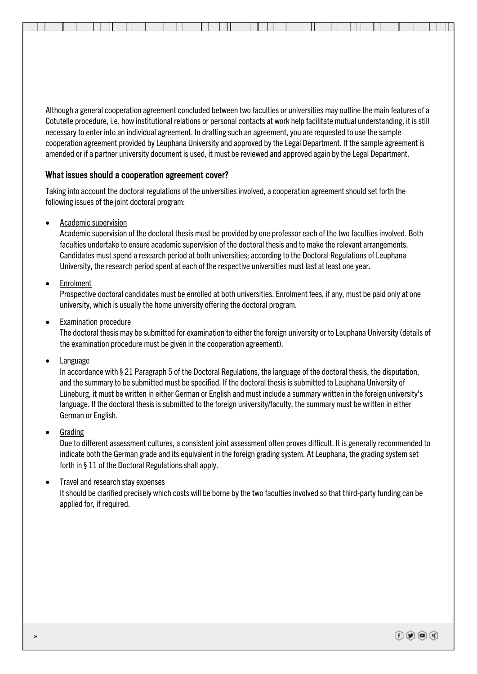Although a general cooperation agreement concluded between two faculties or universities may outline the main features of a Cotutelle procedure, i.e. how institutional relations or personal contacts at work help facilitate mutual understanding, it is still necessary to enter into an individual agreement. In drafting such an agreement, you are requested to use the sample cooperation agreement provided by Leuphana University and approved by the Legal Department. If the sample agreement is amended or if a partner university document is used, it must be reviewed and approved again by the Legal Department.

### What issues should a cooperation agreement cover?

Taking into account the doctoral regulations of the universities involved, a cooperation agreement should set forth the following issues of the joint doctoral program:

• Academic supervision

Academic supervision of the doctoral thesis must be provided by one professor each of the two faculties involved. Both faculties undertake to ensure academic supervision of the doctoral thesis and to make the relevant arrangements. Candidates must spend a research period at both universities; according to the Doctoral Regulations of Leuphana University, the research period spent at each of the respective universities must last at least one year.

• Enrolment

Prospective doctoral candidates must be enrolled at both universities. Enrolment fees, if any, must be paid only at one university, which is usually the home university offering the doctoral program.

**Examination procedure** 

The doctoral thesis may be submitted for examination to either the foreign university or to Leuphana University (details of the examination procedure must be given in the cooperation agreement).

• Language

In accordance with § 21 Paragraph 5 of the Doctoral Regulations, the language of the doctoral thesis, the disputation, and the summary to be submitted must be specified. If the doctoral thesis is submitted to Leuphana University of Lüneburg, it must be written in either German or English and must include a summary written in the foreign university's language. If the doctoral thesis is submitted to the foreign university/faculty, the summary must be written in either German or English.

**Grading** 

Due to different assessment cultures, a consistent joint assessment often proves difficult. It is generally recommended to indicate both the German grade and its equivalent in the foreign grading system. At Leuphana, the grading system set forth in § 11 of the Doctoral Regulations shall apply.

• Travel and research stay expenses

It should be clarified precisely which costs will be borne by the two faculties involved so that third-party funding can be applied for, if required.

www.leuphana.deu